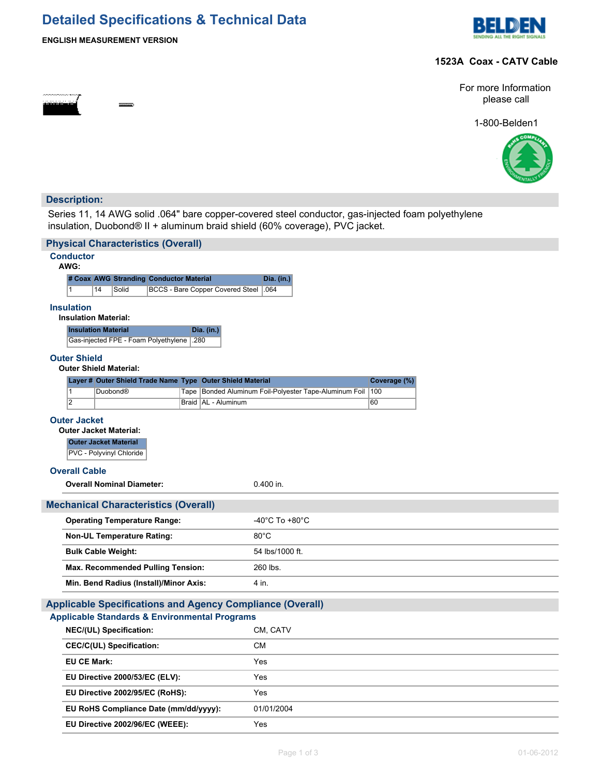# **Detailed Specifications & Technical Data**



### **ENGLISH MEASUREMENT VERSION**

# **1523A Coax - CATV Cable**



1-800-Belden1



# **Description:**

Series 11, 14 AWG solid .064" bare copper-covered steel conductor, gas-injected foam polyethylene insulation, Duobond® II + aluminum braid shield (60% coverage), PVC jacket.

| <b>Physical Characteristics (Overall)</b>                     |                                                                        |  |                                             |  |                |                                                                  |                 |                                                        |                     |  |  |
|---------------------------------------------------------------|------------------------------------------------------------------------|--|---------------------------------------------|--|----------------|------------------------------------------------------------------|-----------------|--------------------------------------------------------|---------------------|--|--|
| <b>Conductor</b>                                              |                                                                        |  |                                             |  |                |                                                                  |                 |                                                        |                     |  |  |
| AWG:<br># Coax AWG Stranding Conductor Material<br>Dia. (in.) |                                                                        |  |                                             |  |                |                                                                  |                 |                                                        |                     |  |  |
|                                                               | $\mathbf{1}$<br>14<br>Solid<br><b>BCCS - Bare Copper Covered Steel</b> |  |                                             |  |                |                                                                  | .064            |                                                        |                     |  |  |
|                                                               | <b>Insulation</b>                                                      |  |                                             |  |                |                                                                  |                 |                                                        |                     |  |  |
|                                                               | <b>Insulation Material:</b>                                            |  |                                             |  |                |                                                                  |                 |                                                        |                     |  |  |
|                                                               | <b>Insulation Material</b>                                             |  |                                             |  |                | Dia. (in.)                                                       |                 |                                                        |                     |  |  |
|                                                               |                                                                        |  | Gas-injected FPE - Foam Polyethylene        |  | .280           |                                                                  |                 |                                                        |                     |  |  |
| <b>Outer Shield</b>                                           |                                                                        |  |                                             |  |                |                                                                  |                 |                                                        |                     |  |  |
|                                                               |                                                                        |  | <b>Outer Shield Material:</b>               |  |                |                                                                  |                 |                                                        |                     |  |  |
|                                                               | $\overline{1}$                                                         |  | Duobond <sup>®</sup>                        |  |                | Layer # Outer Shield Trade Name Type Outer Shield Material       |                 | Tape Bonded Aluminum Foil-Polyester Tape-Aluminum Foil | Coverage (%)<br>100 |  |  |
|                                                               | 2                                                                      |  |                                             |  |                | Braid   AL - Aluminum                                            |                 |                                                        | 60                  |  |  |
|                                                               | <b>Outer Jacket</b>                                                    |  |                                             |  |                |                                                                  |                 |                                                        |                     |  |  |
|                                                               |                                                                        |  | <b>Outer Jacket Material:</b>               |  |                |                                                                  |                 |                                                        |                     |  |  |
|                                                               |                                                                        |  | <b>Outer Jacket Material</b>                |  |                |                                                                  |                 |                                                        |                     |  |  |
|                                                               |                                                                        |  | PVC - Polyvinyl Chloride                    |  |                |                                                                  |                 |                                                        |                     |  |  |
|                                                               | <b>Overall Cable</b>                                                   |  |                                             |  |                |                                                                  |                 |                                                        |                     |  |  |
|                                                               |                                                                        |  | <b>Overall Nominal Diameter:</b>            |  |                |                                                                  | 0.400 in.       |                                                        |                     |  |  |
|                                                               |                                                                        |  | <b>Mechanical Characteristics (Overall)</b> |  |                |                                                                  |                 |                                                        |                     |  |  |
|                                                               | <b>Operating Temperature Range:</b>                                    |  |                                             |  | -40°C To +80°C |                                                                  |                 |                                                        |                     |  |  |
|                                                               | <b>Non-UL Temperature Rating:</b>                                      |  |                                             |  |                | $80^{\circ}$ C                                                   |                 |                                                        |                     |  |  |
|                                                               |                                                                        |  | <b>Bulk Cable Weight:</b>                   |  |                |                                                                  | 54 lbs/1000 ft. |                                                        |                     |  |  |
|                                                               |                                                                        |  | Max. Recommended Pulling Tension:           |  |                |                                                                  | 260 lbs.        |                                                        |                     |  |  |
| Min. Bend Radius (Install)/Minor Axis:                        |                                                                        |  |                                             |  |                | 4 in.                                                            |                 |                                                        |                     |  |  |
|                                                               |                                                                        |  |                                             |  |                | <b>Applicable Specifications and Agency Compliance (Overall)</b> |                 |                                                        |                     |  |  |
|                                                               |                                                                        |  |                                             |  |                | <b>Applicable Standards &amp; Environmental Programs</b>         |                 |                                                        |                     |  |  |
|                                                               |                                                                        |  | NEC/(UL) Specification:                     |  |                |                                                                  | CM, CATV        |                                                        |                     |  |  |
| <b>CEC/C(UL) Specification:</b>                               |                                                                        |  |                                             |  |                | <b>CM</b>                                                        |                 |                                                        |                     |  |  |
|                                                               | <b>EU CE Mark:</b>                                                     |  |                                             |  |                | Yes                                                              |                 |                                                        |                     |  |  |
| EU Directive 2000/53/EC (ELV):                                |                                                                        |  |                                             |  | Yes            |                                                                  |                 |                                                        |                     |  |  |
| EU Directive 2002/95/EC (RoHS):                               |                                                                        |  |                                             |  | Yes            |                                                                  |                 |                                                        |                     |  |  |
| EU RoHS Compliance Date (mm/dd/yyyy):                         |                                                                        |  |                                             |  |                | 01/01/2004                                                       |                 |                                                        |                     |  |  |
|                                                               |                                                                        |  | EU Directive 2002/96/EC (WEEE):             |  |                |                                                                  | Yes             |                                                        |                     |  |  |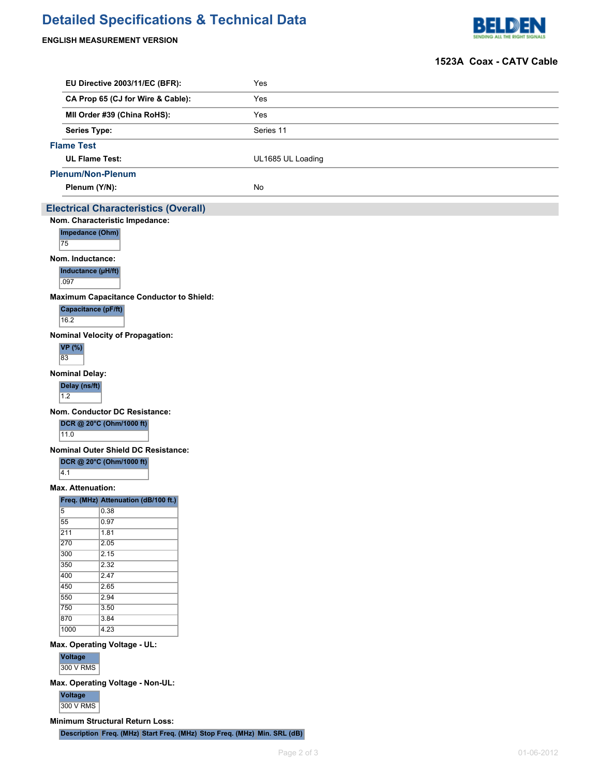# **Detailed Specifications & Technical Data**

# **ENGLISH MEASUREMENT VERSION**



## **1523A Coax - CATV Cable**

|                   | EU Directive 2003/11/EC (BFR):                  | Yes                                                                      |  |  |  |  |  |  |  |
|-------------------|-------------------------------------------------|--------------------------------------------------------------------------|--|--|--|--|--|--|--|
|                   | CA Prop 65 (CJ for Wire & Cable):               | Yes                                                                      |  |  |  |  |  |  |  |
|                   | MII Order #39 (China RoHS):                     | Yes                                                                      |  |  |  |  |  |  |  |
|                   | <b>Series Type:</b>                             | Series 11                                                                |  |  |  |  |  |  |  |
|                   |                                                 |                                                                          |  |  |  |  |  |  |  |
| <b>Flame Test</b> |                                                 |                                                                          |  |  |  |  |  |  |  |
|                   | <b>UL Flame Test:</b>                           | UL1685 UL Loading                                                        |  |  |  |  |  |  |  |
|                   | <b>Plenum/Non-Plenum</b>                        |                                                                          |  |  |  |  |  |  |  |
|                   | Plenum (Y/N):                                   | No                                                                       |  |  |  |  |  |  |  |
|                   | <b>Electrical Characteristics (Overall)</b>     |                                                                          |  |  |  |  |  |  |  |
|                   | Nom. Characteristic Impedance:                  |                                                                          |  |  |  |  |  |  |  |
| 75                | Impedance (Ohm)                                 |                                                                          |  |  |  |  |  |  |  |
|                   | Nom. Inductance:                                |                                                                          |  |  |  |  |  |  |  |
| .097              | Inductance (µH/ft)                              |                                                                          |  |  |  |  |  |  |  |
|                   | <b>Maximum Capacitance Conductor to Shield:</b> |                                                                          |  |  |  |  |  |  |  |
|                   | Capacitance (pF/ft)                             |                                                                          |  |  |  |  |  |  |  |
| 16.2              |                                                 |                                                                          |  |  |  |  |  |  |  |
|                   | <b>Nominal Velocity of Propagation:</b>         |                                                                          |  |  |  |  |  |  |  |
| <b>VP</b> (%)     |                                                 |                                                                          |  |  |  |  |  |  |  |
| 83                |                                                 |                                                                          |  |  |  |  |  |  |  |
|                   | <b>Nominal Delay:</b>                           |                                                                          |  |  |  |  |  |  |  |
|                   | Delay (ns/ft)                                   |                                                                          |  |  |  |  |  |  |  |
| 1.2               |                                                 |                                                                          |  |  |  |  |  |  |  |
|                   | <b>Nom. Conductor DC Resistance:</b>            |                                                                          |  |  |  |  |  |  |  |
|                   | DCR @ 20°C (Ohm/1000 ft)                        |                                                                          |  |  |  |  |  |  |  |
| 11.0              |                                                 |                                                                          |  |  |  |  |  |  |  |
|                   | <b>Nominal Outer Shield DC Resistance:</b>      |                                                                          |  |  |  |  |  |  |  |
|                   | DCR @ 20°C (Ohm/1000 ft)                        |                                                                          |  |  |  |  |  |  |  |
| 4.1               |                                                 |                                                                          |  |  |  |  |  |  |  |
|                   | <b>Max. Attenuation:</b>                        |                                                                          |  |  |  |  |  |  |  |
|                   | Freq. (MHz) Attenuation (dB/100 ft.)            |                                                                          |  |  |  |  |  |  |  |
| 55                | $\overline{5}$ 0.38<br>0.97                     |                                                                          |  |  |  |  |  |  |  |
| $\overline{211}$  | 1.81                                            |                                                                          |  |  |  |  |  |  |  |
| 270               | 2.05                                            |                                                                          |  |  |  |  |  |  |  |
| 300               | 2.15                                            |                                                                          |  |  |  |  |  |  |  |
| 350               | 2.32                                            |                                                                          |  |  |  |  |  |  |  |
| 400               | 2.47                                            |                                                                          |  |  |  |  |  |  |  |
| 450<br>550        | $\overline{2.65}$<br> 2.94                      |                                                                          |  |  |  |  |  |  |  |
| 750               | 3.50                                            |                                                                          |  |  |  |  |  |  |  |
| 870               | 3.84                                            |                                                                          |  |  |  |  |  |  |  |
| 1000              | 4.23                                            |                                                                          |  |  |  |  |  |  |  |
|                   | Max. Operating Voltage - UL:                    |                                                                          |  |  |  |  |  |  |  |
| Voltage           |                                                 |                                                                          |  |  |  |  |  |  |  |
|                   | 300 V RMS                                       |                                                                          |  |  |  |  |  |  |  |
|                   | Max. Operating Voltage - Non-UL:                |                                                                          |  |  |  |  |  |  |  |
| Voltage           |                                                 |                                                                          |  |  |  |  |  |  |  |
|                   | 300 V RMS                                       |                                                                          |  |  |  |  |  |  |  |
|                   | <b>Minimum Structural Return Loss:</b>          |                                                                          |  |  |  |  |  |  |  |
|                   |                                                 | Description Freq. (MHz) Start Freq. (MHz) Stop Freq. (MHz) Min. SRL (dB) |  |  |  |  |  |  |  |